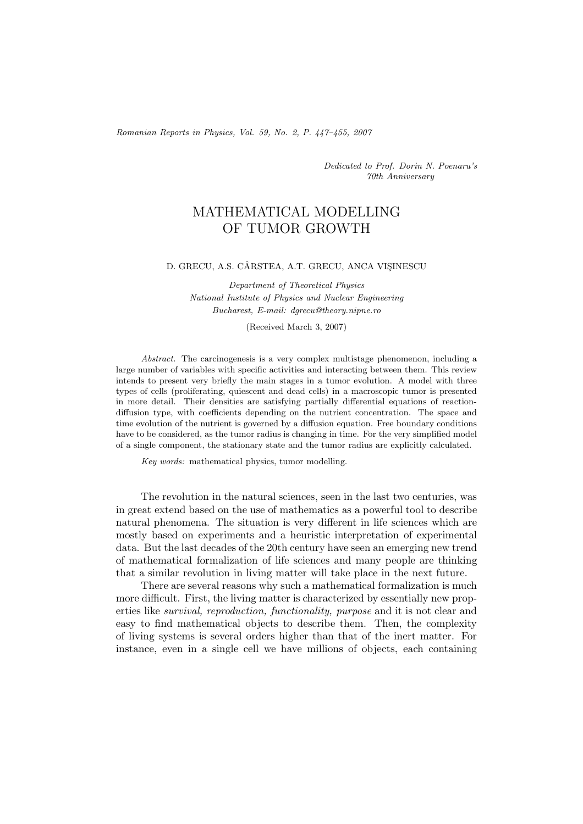*Romanian Reports in Physics, Vol. 59, No. 2, P. 447–455, 2007*

*Dedicated to Prof. Dorin N. Poenaru's 70th Anniversary*

## MATHEMATICAL MODELLING OF TUMOR GROWTH

## D. GRECU, A.S. CÂRSTEA, A.T. GRECU, ANCA VISINESCU

*Department of Theoretical Physics National Institute of Physics and Nuclear Engineering Bucharest, E-mail: dgrecu@theory.nipne.ro*

(Received March 3, 2007)

*Abstract.* The carcinogenesis is a very complex multistage phenomenon, including a large number of variables with specific activities and interacting between them. This review intends to present very briefly the main stages in a tumor evolution. A model with three types of cells (proliferating, quiescent and dead cells) in a macroscopic tumor is presented in more detail. Their densities are satisfying partially differential equations of reactiondiffusion type, with coefficients depending on the nutrient concentration. The space and time evolution of the nutrient is governed by a diffusion equation. Free boundary conditions have to be considered, as the tumor radius is changing in time. For the very simplified model of a single component, the stationary state and the tumor radius are explicitly calculated.

*Key words:* mathematical physics, tumor modelling.

The revolution in the natural sciences, seen in the last two centuries, was in great extend based on the use of mathematics as a powerful tool to describe natural phenomena. The situation is very different in life sciences which are mostly based on experiments and a heuristic interpretation of experimental data. But the last decades of the 20th century have seen an emerging new trend of mathematical formalization of life sciences and many people are thinking that a similar revolution in living matter will take place in the next future.

There are several reasons why such a mathematical formalization is much more difficult. First, the living matter is characterized by essentially new properties like *survival, reproduction, functionality, purpose* and it is not clear and easy to find mathematical objects to describe them. Then, the complexity of living systems is several orders higher than that of the inert matter. For instance, even in a single cell we have millions of objects, each containing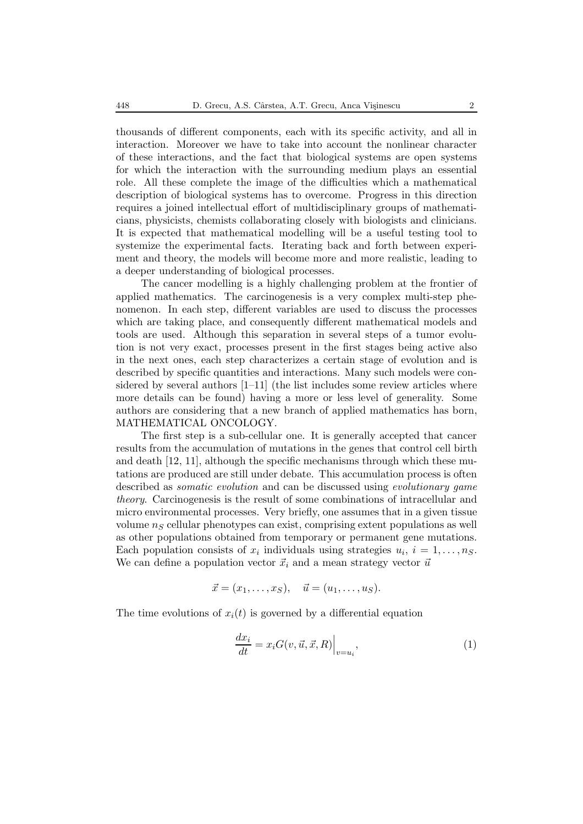thousands of different components, each with its specific activity, and all in interaction. Moreover we have to take into account the nonlinear character of these interactions, and the fact that biological systems are open systems for which the interaction with the surrounding medium plays an essential role. All these complete the image of the difficulties which a mathematical description of biological systems has to overcome. Progress in this direction requires a joined intellectual effort of multidisciplinary groups of mathematicians, physicists, chemists collaborating closely with biologists and clinicians. It is expected that mathematical modelling will be a useful testing tool to systemize the experimental facts. Iterating back and forth between experiment and theory, the models will become more and more realistic, leading to a deeper understanding of biological processes.

The cancer modelling is a highly challenging problem at the frontier of applied mathematics. The carcinogenesis is a very complex multi-step phenomenon. In each step, different variables are used to discuss the processes which are taking place, and consequently different mathematical models and tools are used. Although this separation in several steps of a tumor evolution is not very exact, processes present in the first stages being active also in the next ones, each step characterizes a certain stage of evolution and is described by specific quantities and interactions. Many such models were considered by several authors [1–11] (the list includes some review articles where more details can be found) having a more or less level of generality. Some authors are considering that a new branch of applied mathematics has born, MATHEMATICAL ONCOLOGY.

The first step is a sub-cellular one. It is generally accepted that cancer results from the accumulation of mutations in the genes that control cell birth and death [12, 11], although the specific mechanisms through which these mutations are produced are still under debate. This accumulation process is often described as *somatic evolution* and can be discussed using *evolutionary game theory*. Carcinogenesis is the result of some combinations of intracellular and micro environmental processes. Very briefly, one assumes that in a given tissue volume n*<sup>S</sup>* cellular phenotypes can exist, comprising extent populations as well as other populations obtained from temporary or permanent gene mutations. Each population consists of  $x_i$  individuals using strategies  $u_i$ ,  $i = 1, \ldots, n_S$ . We can define a population vector  $\vec{x}_i$  and a mean strategy vector  $\vec{u}$ 

$$
\vec{x}=(x_1,\ldots,x_S), \quad \vec{u}=(u_1,\ldots,u_S).
$$

The time evolutions of  $x_i(t)$  is governed by a differential equation

$$
\frac{dx_i}{dt} = x_i G(v, \vec{u}, \vec{x}, R) \Big|_{v=u_i},\tag{1}
$$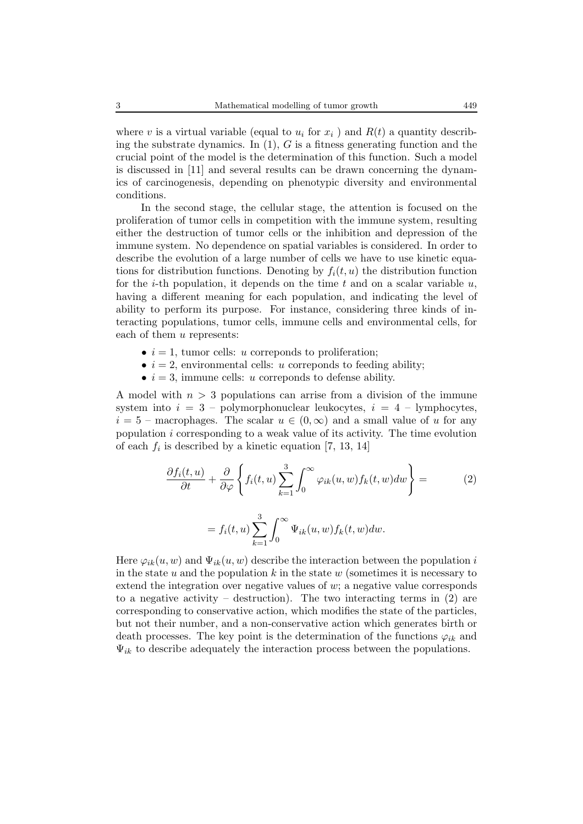where v is a virtual variable (equal to  $u_i$  for  $x_i$ ) and  $R(t)$  a quantity describing the substrate dynamics. In  $(1)$ , G is a fitness generating function and the crucial point of the model is the determination of this function. Such a model is discussed in [11] and several results can be drawn concerning the dynamics of carcinogenesis, depending on phenotypic diversity and environmental conditions.

In the second stage, the cellular stage, the attention is focused on the proliferation of tumor cells in competition with the immune system, resulting either the destruction of tumor cells or the inhibition and depression of the immune system. No dependence on spatial variables is considered. In order to describe the evolution of a large number of cells we have to use kinetic equations for distribution functions. Denoting by  $f_i(t, u)$  the distribution function for the *i*-th population, it depends on the time t and on a scalar variable  $u$ , having a different meaning for each population, and indicating the level of ability to perform its purpose. For instance, considering three kinds of interacting populations, tumor cells, immune cells and environmental cells, for each of them u represents:

- $i = 1$ , tumor cells: *u* correponds to proliferation;
- $i = 2$ , environmental cells: u correponds to feeding ability;
- $i = 3$ , immune cells: *u* correponds to defense ability.

A model with  $n > 3$  populations can arrise from a division of the immune system into  $i = 3$  – polymorphonuclear leukocytes,  $i = 4$  – lymphocytes,  $i = 5$  – macrophages. The scalar  $u \in (0, \infty)$  and a small value of u for any population  $i$  corresponding to a weak value of its activity. The time evolution of each  $f_i$  is described by a kinetic equation [7, 13, 14]

$$
\frac{\partial f_i(t, u)}{\partial t} + \frac{\partial}{\partial \varphi} \left\{ f_i(t, u) \sum_{k=1}^3 \int_0^\infty \varphi_{ik}(u, w) f_k(t, w) dw \right\} =
$$
\n
$$
= f_i(t, u) \sum_{k=1}^3 \int_0^\infty \Psi_{ik}(u, w) f_k(t, w) dw.
$$
\n(2)

Here  $\varphi_{ik}(u, w)$  and  $\Psi_{ik}(u, w)$  describe the interaction between the population i in the state u and the population k in the state w (sometimes it is necessary to extend the integration over negative values of  $w$ ; a negative value corresponds to a negative activity – destruction). The two interacting terms in  $(2)$  are corresponding to conservative action, which modifies the state of the particles, but not their number, and a non-conservative action which generates birth or death processes. The key point is the determination of the functions  $\varphi_{ik}$  and  $\Psi_{ik}$  to describe adequately the interaction process between the populations.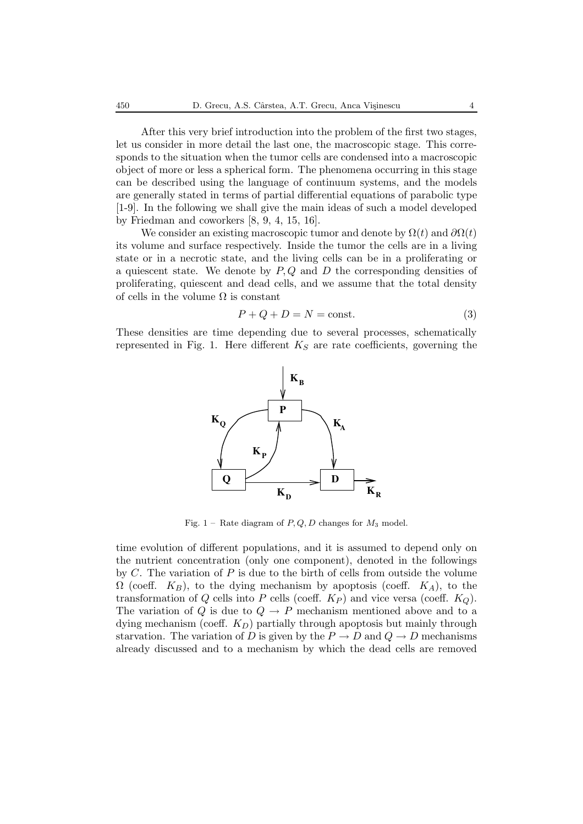After this very brief introduction into the problem of the first two stages, let us consider in more detail the last one, the macroscopic stage. This corresponds to the situation when the tumor cells are condensed into a macroscopic object of more or less a spherical form. The phenomena occurring in this stage can be described using the language of continuum systems, and the models are generally stated in terms of partial differential equations of parabolic type [1-9]. In the following we shall give the main ideas of such a model developed by Friedman and coworkers [8, 9, 4, 15, 16].

We consider an existing macroscopic tumor and denote by  $\Omega(t)$  and  $\partial \Omega(t)$ its volume and surface respectively. Inside the tumor the cells are in a living state or in a necrotic state, and the living cells can be in a proliferating or a quiescent state. We denote by  $P, Q$  and D the corresponding densities of proliferating, quiescent and dead cells, and we assume that the total density of cells in the volume  $\Omega$  is constant

$$
P + Q + D = N = \text{const.}
$$
\n<sup>(3)</sup>

These densities are time depending due to several processes, schematically represented in Fig. 1. Here different K*<sup>S</sup>* are rate coefficients, governing the



Fig. 1 – Rate diagram of *P, Q, D* changes for *M*<sup>3</sup> model.

time evolution of different populations, and it is assumed to depend only on the nutrient concentration (only one component), denoted in the followings by  $C$ . The variation of  $P$  is due to the birth of cells from outside the volume  $\Omega$  (coeff.  $K_B$ ), to the dying mechanism by apoptosis (coeff.  $K_A$ ), to the transformation of  $Q$  cells into  $P$  cells (coeff.  $K_P$ ) and vice versa (coeff.  $K_Q$ ). The variation of Q is due to  $Q \rightarrow P$  mechanism mentioned above and to a dying mechanism (coeff. K*D*) partially through apoptosis but mainly through starvation. The variation of D is given by the  $P \to D$  and  $Q \to D$  mechanisms already discussed and to a mechanism by which the dead cells are removed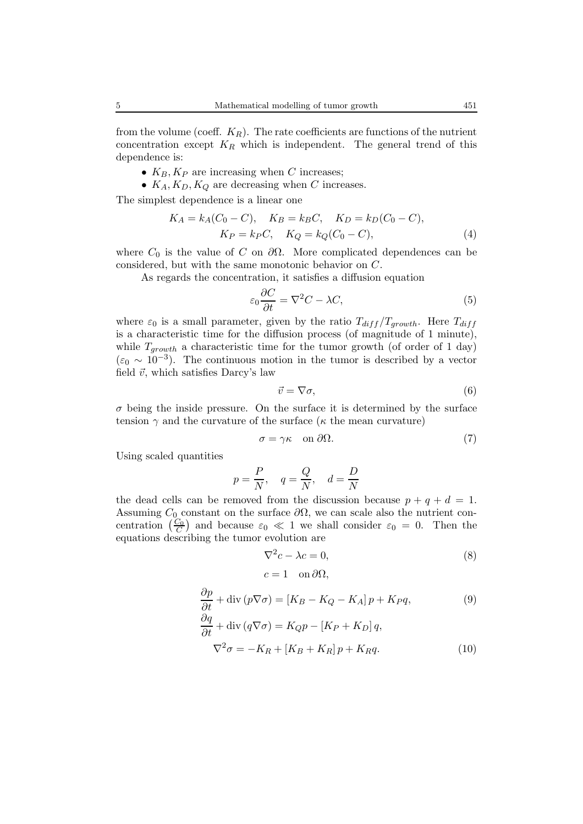from the volume (coeff.  $K_R$ ). The rate coefficients are functions of the nutrient concentration except  $K_R$  which is independent. The general trend of this dependence is:

- $K_B$ ,  $K_P$  are increasing when C increases;
- $K_A, K_D, K_Q$  are decreasing when C increases.

The simplest dependence is a linear one

$$
K_A = k_A(C_0 - C), \quad K_B = k_B C, \quad K_D = k_D(C_0 - C),
$$
  

$$
K_P = k_P C, \quad K_Q = k_Q(C_0 - C),
$$
 (4)

where  $C_0$  is the value of C on  $\partial\Omega$ . More complicated dependences can be considered, but with the same monotonic behavior on C.

As regards the concentration, it satisfies a diffusion equation

$$
\varepsilon_0 \frac{\partial C}{\partial t} = \nabla^2 C - \lambda C,\tag{5}
$$

where  $\varepsilon_0$  is a small parameter, given by the ratio  $T_{diff}/T_{growth}$ . Here  $T_{diff}$ is a characteristic time for the diffusion process (of magnitude of 1 minute), while  $T_{growth}$  a characteristic time for the tumor growth (of order of 1 day)  $(\varepsilon_0 \sim 10^{-3})$ . The continuous motion in the tumor is described by a vector field  $\vec{v}$ , which satisfies Darcy's law

$$
\vec{v} = \nabla \sigma,\tag{6}
$$

 $\sigma$  being the inside pressure. On the surface it is determined by the surface tension  $\gamma$  and the curvature of the surface ( $\kappa$  the mean curvature)

$$
\sigma = \gamma \kappa \quad \text{on } \partial \Omega. \tag{7}
$$

Using scaled quantities

$$
p = \frac{P}{N}
$$
,  $q = \frac{Q}{N}$ ,  $d = \frac{D}{N}$ 

the dead cells can be removed from the discussion because  $p + q + d = 1$ . Assuming  $C_0$  constant on the surface  $\partial\Omega$ , we can scale also the nutrient concentration  $\left(\frac{C_0}{C}\right)$  and because  $\varepsilon_0 \ll 1$  we shall consider  $\varepsilon_0 = 0$ . Then the equations describing the tumor evolution are

$$
\nabla^2 c - \lambda c = 0,\tag{8}
$$

$$
c = 1 \quad \text{on } \partial \Omega,
$$

$$
\frac{\partial p}{\partial t} + \text{div}(p \nabla \sigma) = [K_B - K_Q - K_A]p + K_P q, \tag{9}
$$

$$
\frac{\partial q}{\partial t} + \text{div}(q \nabla \sigma) = K_Q p - [K_P + K_D] q,
$$
  

$$
\nabla^2 \sigma = -K_R + [K_B + K_R] p + K_R q.
$$
 (10)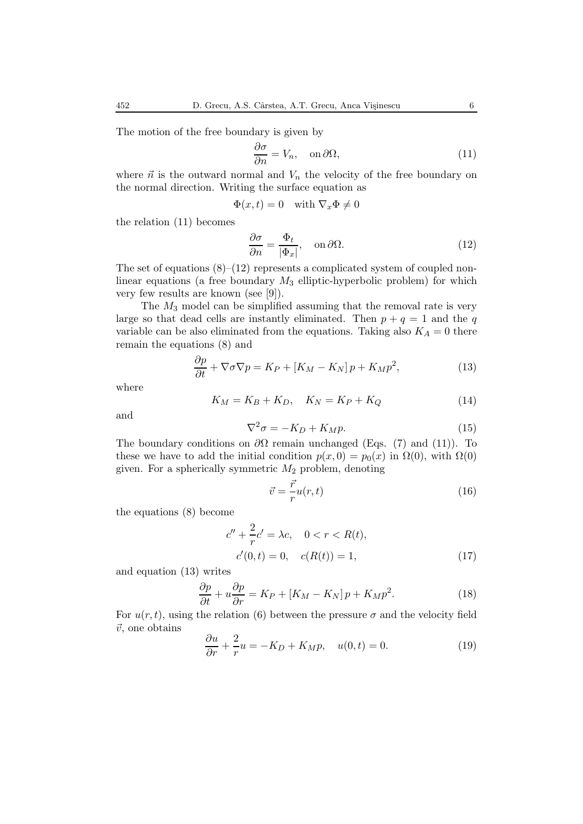The motion of the free boundary is given by

$$
\frac{\partial \sigma}{\partial n} = V_n, \quad \text{on } \partial \Omega,
$$
\n(11)

where  $\vec{n}$  is the outward normal and  $V_n$  the velocity of the free boundary on the normal direction. Writing the surface equation as

$$
\Phi(x,t) = 0 \quad \text{with } \nabla_x \Phi \neq 0
$$

the relation (11) becomes

$$
\frac{\partial \sigma}{\partial n} = \frac{\Phi_t}{|\Phi_x|}, \quad \text{on } \partial \Omega.
$$
 (12)

The set of equations  $(8)$ – $(12)$  represents a complicated system of coupled nonlinear equations (a free boundary  $M_3$  elliptic-hyperbolic problem) for which very few results are known (see [9]).

The  $M_3$  model can be simplified assuming that the removal rate is very large so that dead cells are instantly eliminated. Then  $p + q = 1$  and the q variable can be also eliminated from the equations. Taking also  $K_A = 0$  there remain the equations (8) and

$$
\frac{\partial p}{\partial t} + \nabla \sigma \nabla p = K_P + [K_M - K_N] p + K_M p^2, \qquad (13)
$$

where

$$
K_M = K_B + K_D, \quad K_N = K_P + K_Q \tag{14}
$$

and

$$
\nabla^2 \sigma = -K_D + K_M p. \tag{15}
$$

The boundary conditions on  $\partial\Omega$  remain unchanged (Eqs. (7) and (11)). To these we have to add the initial condition  $p(x, 0) = p_0(x)$  in  $\Omega(0)$ , with  $\Omega(0)$ given. For a spherically symmetric  $M_2$  problem, denoting

$$
\vec{v} = \frac{\vec{r}}{r}u(r,t) \tag{16}
$$

the equations (8) become

$$
c'' + \frac{2}{r}c' = \lambda c, \quad 0 < r < R(t),
$$
  
\n
$$
c'(0, t) = 0, \quad c(R(t)) = 1,
$$
\n(17)

and equation (13) writes

$$
\frac{\partial p}{\partial t} + u \frac{\partial p}{\partial r} = K_P + [K_M - K_N]p + K_M p^2.
$$
 (18)

For  $u(r, t)$ , using the relation (6) between the pressure  $\sigma$  and the velocity field  $\vec{v}$ , one obtains

$$
\frac{\partial u}{\partial r} + \frac{2}{r}u = -K_D + K_M p, \quad u(0, t) = 0.
$$
 (19)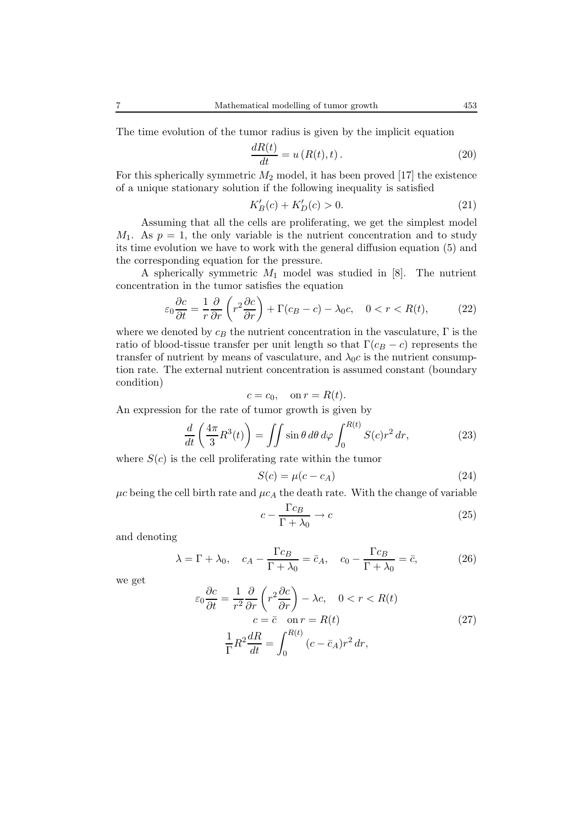The time evolution of the tumor radius is given by the implicit equation

$$
\frac{dR(t)}{dt} = u(R(t),t). \tag{20}
$$

For this spherically symmetric  $M_2$  model, it has been proved [17] the existence of a unique stationary solution if the following inequality is satisfied

$$
K'_{B}(c) + K'_{D}(c) > 0.
$$
\n(21)

Assuming that all the cells are proliferating, we get the simplest model  $M_1$ . As  $p = 1$ , the only variable is the nutrient concentration and to study its time evolution we have to work with the general diffusion equation (5) and the corresponding equation for the pressure.

A spherically symmetric  $M_1$  model was studied in [8]. The nutrient concentration in the tumor satisfies the equation

$$
\varepsilon_0 \frac{\partial c}{\partial t} = \frac{1}{r} \frac{\partial}{\partial r} \left( r^2 \frac{\partial c}{\partial r} \right) + \Gamma(c_B - c) - \lambda_0 c, \quad 0 < r < R(t), \tag{22}
$$

where we denoted by  $c_B$  the nutrient concentration in the vasculature,  $\Gamma$  is the ratio of blood-tissue transfer per unit length so that  $\Gamma(c_B - c)$  represents the transfer of nutrient by means of vasculature, and  $\lambda_0 c$  is the nutrient consumption rate. The external nutrient concentration is assumed constant (boundary condition)

$$
c = c_0, \quad \text{on } r = R(t).
$$

An expression for the rate of tumor growth is given by

$$
\frac{d}{dt}\left(\frac{4\pi}{3}R^3(t)\right) = \iint \sin\theta \,d\theta \,d\varphi \int_0^{R(t)} S(c)r^2 \,dr,\tag{23}
$$

where  $S(c)$  is the cell proliferating rate within the tumor

$$
S(c) = \mu(c - c_A) \tag{24}
$$

 $\mu c$  being the cell birth rate and  $\mu c_A$  the death rate. With the change of variable

$$
c - \frac{\Gamma c_B}{\Gamma + \lambda_0} \to c \tag{25}
$$

and denoting

$$
\lambda = \Gamma + \lambda_0, \quad c_A - \frac{\Gamma c_B}{\Gamma + \lambda_0} = \bar{c}_A, \quad c_0 - \frac{\Gamma c_B}{\Gamma + \lambda_0} = \bar{c}, \tag{26}
$$

we get

$$
\varepsilon_0 \frac{\partial c}{\partial t} = \frac{1}{r^2} \frac{\partial}{\partial r} \left( r^2 \frac{\partial c}{\partial r} \right) - \lambda c, \quad 0 < r < R(t)
$$
\n
$$
c = \bar{c} \quad \text{on } r = R(t)
$$
\n
$$
\frac{1}{\Gamma} R^2 \frac{dR}{dt} = \int_0^{R(t)} (c - \bar{c}_A) r^2 \, dr,\tag{27}
$$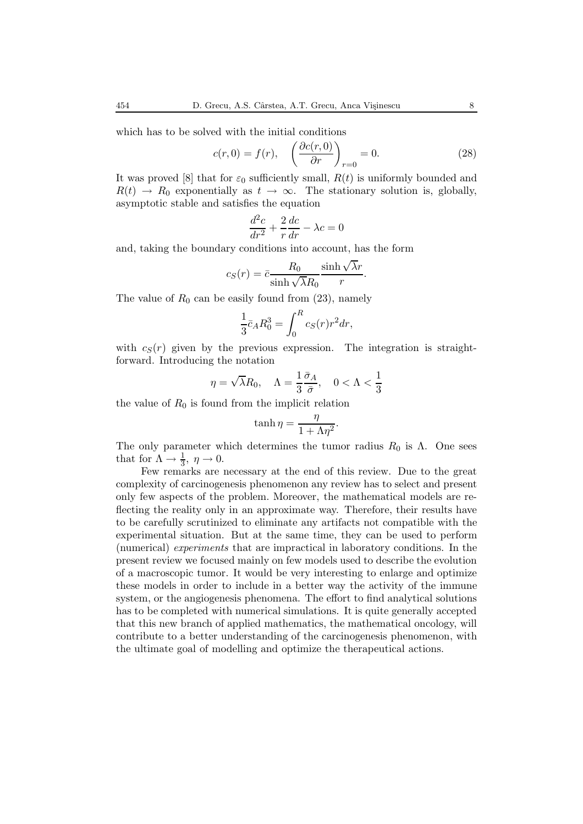which has to be solved with the initial conditions

$$
c(r,0) = f(r), \quad \left(\frac{\partial c(r,0)}{\partial r}\right)_{r=0} = 0. \tag{28}
$$

It was proved [8] that for  $\varepsilon_0$  sufficiently small,  $R(t)$  is uniformly bounded and  $R(t) \rightarrow R_0$  exponentially as  $t \rightarrow \infty$ . The stationary solution is, globally, asymptotic stable and satisfies the equation

$$
\frac{d^2c}{dr^2} + \frac{2}{r}\frac{dc}{dr} - \lambda c = 0
$$

and, taking the boundary conditions into account, has the form

$$
c_S(r) = \bar{c} \frac{R_0}{\sinh \sqrt{\lambda} R_0} \frac{\sinh \sqrt{\lambda}r}{r}.
$$

The value of  $R_0$  can be easily found from (23), namely

$$
\frac{1}{3}\bar{c}_A R_0^3 = \int_0^R c_S(r) r^2 dr,
$$

with  $c_S(r)$  given by the previous expression. The integration is straightforward. Introducing the notation

$$
\eta=\sqrt{\lambda}R_0,\quad \Lambda=\frac{1}{3}\frac{\bar{\sigma}_A}{\bar{\sigma}},\quad 0<\Lambda<\frac{1}{3}
$$

the value of  $R_0$  is found from the implicit relation

$$
\tanh \eta = \frac{\eta}{1 + \Lambda \eta^2}.
$$

The only parameter which determines the tumor radius  $R_0$  is  $\Lambda$ . One sees that for  $\Lambda \to \frac{1}{3}$ ,  $\eta \to 0$ .

Few remarks are necessary at the end of this review. Due to the great complexity of carcinogenesis phenomenon any review has to select and present only few aspects of the problem. Moreover, the mathematical models are reflecting the reality only in an approximate way. Therefore, their results have to be carefully scrutinized to eliminate any artifacts not compatible with the experimental situation. But at the same time, they can be used to perform (numerical) *experiments* that are impractical in laboratory conditions. In the present review we focused mainly on few models used to describe the evolution of a macroscopic tumor. It would be very interesting to enlarge and optimize these models in order to include in a better way the activity of the immune system, or the angiogenesis phenomena. The effort to find analytical solutions has to be completed with numerical simulations. It is quite generally accepted that this new branch of applied mathematics, the mathematical oncology, will contribute to a better understanding of the carcinogenesis phenomenon, with the ultimate goal of modelling and optimize the therapeutical actions.